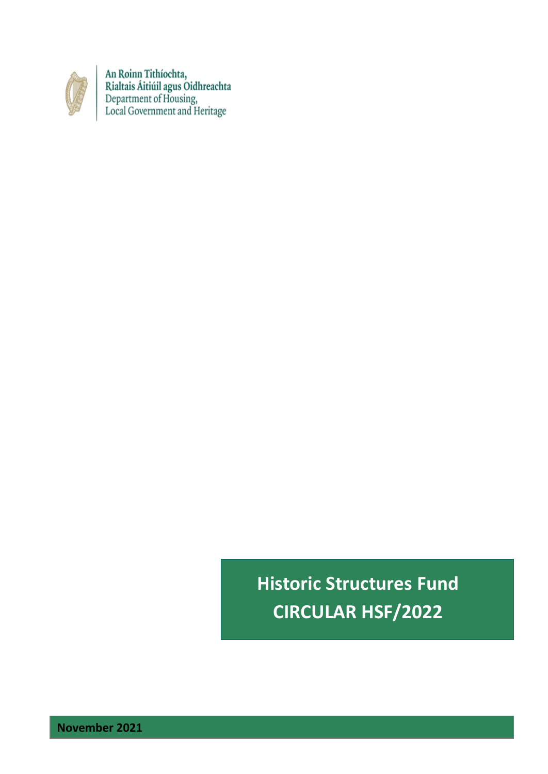

An Roinn Tithíochta,<br>Rialtais Áitiúil agus Oidhreachta<br>Department of Housing,<br>Local Government and Heritage

**Historic Structures Fund CIRCULAR HSF/2022**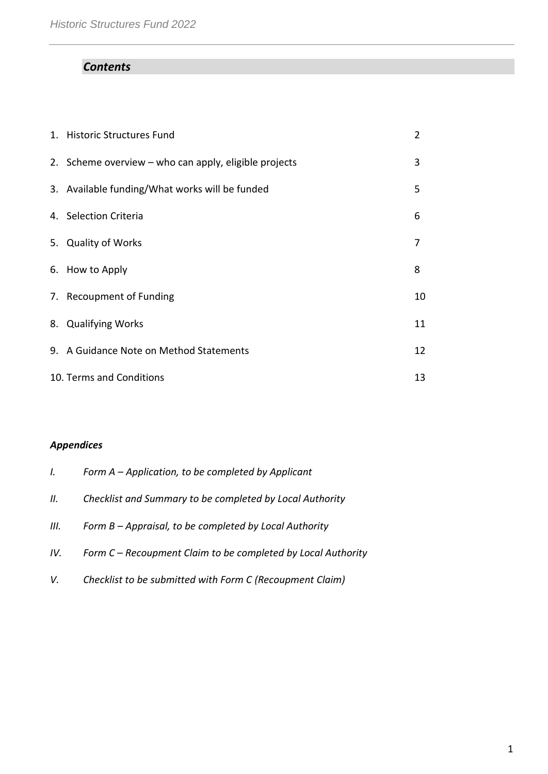# *Contents*

| 1. Historic Structures Fund                           | 2  |
|-------------------------------------------------------|----|
| 2. Scheme overview – who can apply, eligible projects | 3  |
| 3. Available funding/What works will be funded        | 5. |
| 4. Selection Criteria                                 | 6  |
| 5. Quality of Works                                   | 7  |
| 6. How to Apply                                       | 8  |
| 7. Recoupment of Funding                              | 10 |
| 8. Qualifying Works                                   | 11 |
| 9. A Guidance Note on Method Statements               | 12 |
| 10. Terms and Conditions                              | 13 |

# *Appendices*

| I.   | Form $A$ – Application, to be completed by Applicant         |
|------|--------------------------------------------------------------|
| II.  | Checklist and Summary to be completed by Local Authority     |
| III. | Form B - Appraisal, to be completed by Local Authority       |
| IV.  | Form C – Recoupment Claim to be completed by Local Authority |

*V. Checklist to be submitted with Form C (Recoupment Claim)*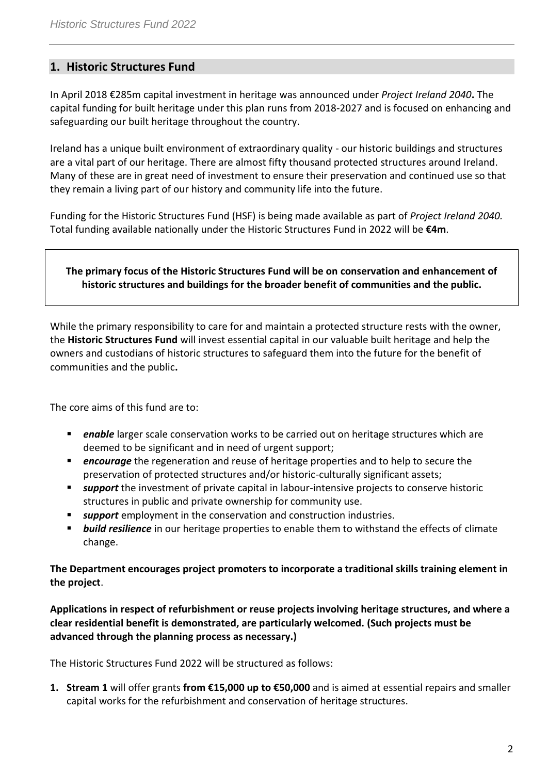# **1. Historic Structures Fund**

In April 2018 €285m capital investment in heritage was announced under *Project Ireland 2040***.** The capital funding for built heritage under this plan runs from 2018-2027 and is focused on enhancing and safeguarding our built heritage throughout the country.

Ireland has a unique built environment of extraordinary quality - our historic buildings and structures are a vital part of our heritage. There are almost fifty thousand protected structures around Ireland. Many of these are in great need of investment to ensure their preservation and continued use so that they remain a living part of our history and community life into the future.

Funding for the Historic Structures Fund (HSF) is being made available as part of *Project Ireland 2040.*  Total funding available nationally under the Historic Structures Fund in 2022 will be **€4m**.

### **The primary focus of the Historic Structures Fund will be on conservation and enhancement of historic structures and buildings for the broader benefit of communities and the public.**

While the primary responsibility to care for and maintain a protected structure rests with the owner, the **Historic Structures Fund** will invest essential capital in our valuable built heritage and help the owners and custodians of historic structures to safeguard them into the future for the benefit of communities and the public**.**

The core aims of this fund are to:

- **Phable** larger scale conservation works to be carried out on heritage structures which are deemed to be significant and in need of urgent support;
- **Pencourage** the regeneration and reuse of heritage properties and to help to secure the preservation of protected structures and/or historic-culturally significant assets;
- **support** the investment of private capital in labour-intensive projects to conserve historic structures in public and private ownership for community use.
- *support* employment in the conservation and construction industries.
- *build resilience* in our heritage properties to enable them to withstand the effects of climate change.

**The Department encourages project promoters to incorporate a traditional skills training element in the project**.

**Applications in respect of refurbishment or reuse projects involving heritage structures, and where a clear residential benefit is demonstrated, are particularly welcomed. (Such projects must be advanced through the planning process as necessary.)**

The Historic Structures Fund 2022 will be structured as follows:

**1. Stream 1** will offer grants **from €15,000 up to €50,000** and is aimed at essential repairs and smaller capital works for the refurbishment and conservation of heritage structures.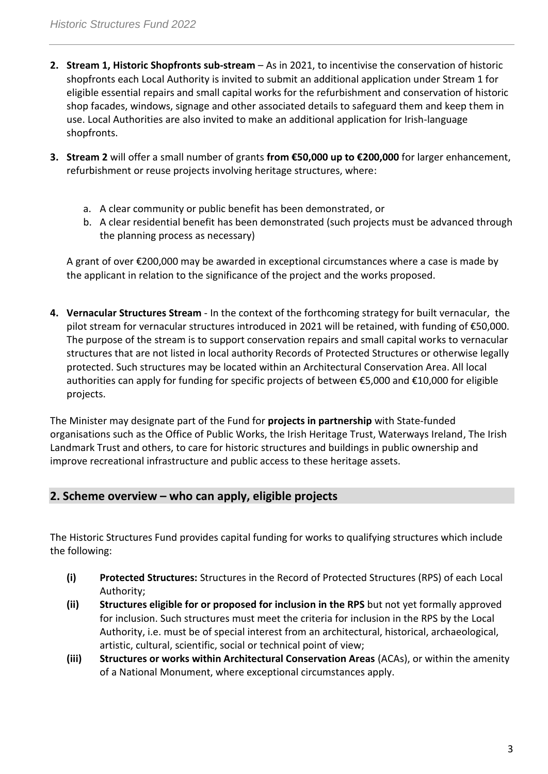- **2. Stream 1, Historic Shopfronts sub-stream** As in 2021, to incentivise the conservation of historic shopfronts each Local Authority is invited to submit an additional application under Stream 1 for eligible essential repairs and small capital works for the refurbishment and conservation of historic shop facades, windows, signage and other associated details to safeguard them and keep them in use. Local Authorities are also invited to make an additional application for Irish-language shopfronts.
- **3. Stream 2** will offer a small number of grants **from €50,000 up to €200,000** for larger enhancement, refurbishment or reuse projects involving heritage structures, where:
	- a. A clear community or public benefit has been demonstrated, or
	- b. A clear residential benefit has been demonstrated (such projects must be advanced through the planning process as necessary)

A grant of over €200,000 may be awarded in exceptional circumstances where a case is made by the applicant in relation to the significance of the project and the works proposed.

**4. Vernacular Structures Stream** - In the context of the forthcoming strategy for built vernacular, the pilot stream for vernacular structures introduced in 2021 will be retained, with funding of €50,000. The purpose of the stream is to support conservation repairs and small capital works to vernacular structures that are not listed in local authority Records of Protected Structures or otherwise legally protected. Such structures may be located within an Architectural Conservation Area. All local authorities can apply for funding for specific projects of between €5,000 and €10,000 for eligible projects.

The Minister may designate part of the Fund for **projects in partnership** with State-funded organisations such as the Office of Public Works, the Irish Heritage Trust, Waterways Ireland, The Irish Landmark Trust and others, to care for historic structures and buildings in public ownership and improve recreational infrastructure and public access to these heritage assets.

# **2. Scheme overview – who can apply, eligible projects**

The Historic Structures Fund provides capital funding for works to qualifying structures which include the following:

- **(i) Protected Structures:** Structures in the Record of Protected Structures (RPS) of each Local Authority;
- **(ii) Structures eligible for or proposed for inclusion in the RPS** but not yet formally approved for inclusion. Such structures must meet the criteria for inclusion in the RPS by the Local Authority, i.e. must be of special interest from an architectural, historical, archaeological, artistic, cultural, scientific, social or technical point of view;
- **(iii) Structures or works within Architectural Conservation Areas** (ACAs), or within the amenity of a National Monument, where exceptional circumstances apply.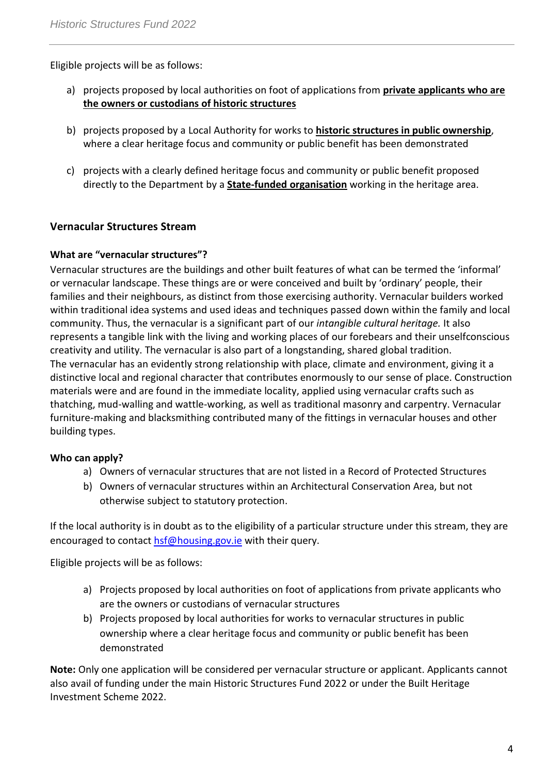Eligible projects will be as follows:

- a) projects proposed by local authorities on foot of applications from **private applicants who are the owners or custodians of historic structures**
- b) projects proposed by a Local Authority for works to **historic structures in public ownership**, where a clear heritage focus and community or public benefit has been demonstrated
- c) projects with a clearly defined heritage focus and community or public benefit proposed directly to the Department by a **State-funded organisation** working in the heritage area.

# **Vernacular Structures Stream**

# **What are "vernacular structures"?**

Vernacular structures are the buildings and other built features of what can be termed the 'informal' or vernacular landscape. These things are or were conceived and built by 'ordinary' people, their families and their neighbours, as distinct from those exercising authority. Vernacular builders worked within traditional idea systems and used ideas and techniques passed down within the family and local community. Thus, the vernacular is a significant part of our *intangible cultural heritage.* It also represents a tangible link with the living and working places of our forebears and their unselfconscious creativity and utility. The vernacular is also part of a longstanding, shared global tradition. The vernacular has an evidently strong relationship with place, climate and environment, giving it a distinctive local and regional character that contributes enormously to our sense of place. Construction materials were and are found in the immediate locality, applied using vernacular crafts such as thatching, mud-walling and wattle-working, as well as traditional masonry and carpentry. Vernacular furniture-making and blacksmithing contributed many of the fittings in vernacular houses and other building types.

# **Who can apply?**

- a) Owners of vernacular structures that are not listed in a Record of Protected Structures
- b) Owners of vernacular structures within an Architectural Conservation Area, but not otherwise subject to statutory protection.

If the local authority is in doubt as to the eligibility of a particular structure under this stream, they are encouraged to contact [hsf@housing.gov.ie](mailto:hsf@housing.gov.ie) with their query.

Eligible projects will be as follows:

- a) Projects proposed by local authorities on foot of applications from private applicants who are the owners or custodians of vernacular structures
- b) Projects proposed by local authorities for works to vernacular structures in public ownership where a clear heritage focus and community or public benefit has been demonstrated

**Note:** Only one application will be considered per vernacular structure or applicant. Applicants cannot also avail of funding under the main Historic Structures Fund 2022 or under the Built Heritage Investment Scheme 2022.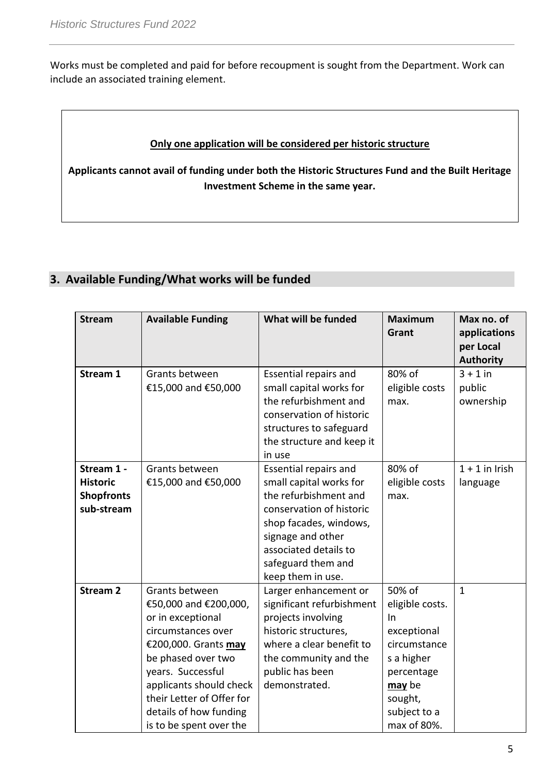Works must be completed and paid for before recoupment is sought from the Department. Work can include an associated training element.

### **Only one application will be considered per historic structure**

**Applicants cannot avail of funding under both the Historic Structures Fund and the Built Heritage Investment Scheme in the same year.**

# **3. Available Funding/What works will be funded**

| <b>Stream</b>                                                    | <b>Available Funding</b>                                                                                                                                                                                                                                           | What will be funded                                                                                                                                                                                                             | <b>Maximum</b><br>Grant                                                                                                                           | Max no. of<br>applications        |
|------------------------------------------------------------------|--------------------------------------------------------------------------------------------------------------------------------------------------------------------------------------------------------------------------------------------------------------------|---------------------------------------------------------------------------------------------------------------------------------------------------------------------------------------------------------------------------------|---------------------------------------------------------------------------------------------------------------------------------------------------|-----------------------------------|
|                                                                  |                                                                                                                                                                                                                                                                    |                                                                                                                                                                                                                                 |                                                                                                                                                   | per Local<br><b>Authority</b>     |
| Stream 1                                                         | Grants between<br>€15,000 and €50,000                                                                                                                                                                                                                              | Essential repairs and<br>small capital works for<br>the refurbishment and<br>conservation of historic<br>structures to safeguard<br>the structure and keep it<br>in use                                                         | 80% of<br>eligible costs<br>max.                                                                                                                  | $3 + 1$ in<br>public<br>ownership |
| Stream 1 -<br><b>Historic</b><br><b>Shopfronts</b><br>sub-stream | Grants between<br>€15,000 and €50,000                                                                                                                                                                                                                              | <b>Essential repairs and</b><br>small capital works for<br>the refurbishment and<br>conservation of historic<br>shop facades, windows,<br>signage and other<br>associated details to<br>safeguard them and<br>keep them in use. | 80% of<br>eligible costs<br>max.                                                                                                                  | $1 + 1$ in Irish<br>language      |
| <b>Stream 2</b>                                                  | Grants between<br>€50,000 and €200,000,<br>or in exceptional<br>circumstances over<br>€200,000. Grants may<br>be phased over two<br>years. Successful<br>applicants should check<br>their Letter of Offer for<br>details of how funding<br>is to be spent over the | Larger enhancement or<br>significant refurbishment<br>projects involving<br>historic structures,<br>where a clear benefit to<br>the community and the<br>public has been<br>demonstrated.                                       | 50% of<br>eligible costs.<br>$\ln$<br>exceptional<br>circumstance<br>s a higher<br>percentage<br>may be<br>sought,<br>subject to a<br>max of 80%. | $\mathbf{1}$                      |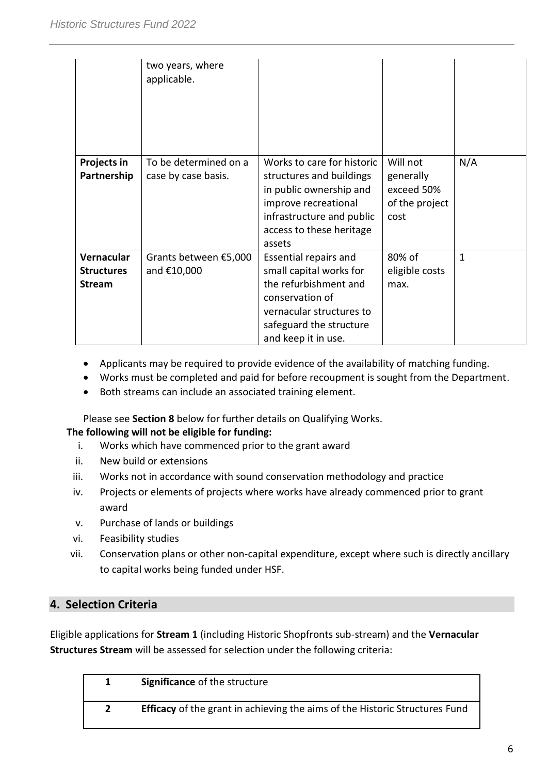|                                                  | two years, where<br>applicable.              |                                                                                                                                                                              |                                                               |     |
|--------------------------------------------------|----------------------------------------------|------------------------------------------------------------------------------------------------------------------------------------------------------------------------------|---------------------------------------------------------------|-----|
| Projects in<br>Partnership                       | To be determined on a<br>case by case basis. | Works to care for historic<br>structures and buildings<br>in public ownership and<br>improve recreational<br>infrastructure and public<br>access to these heritage<br>assets | Will not<br>generally<br>exceed 50%<br>of the project<br>cost | N/A |
| Vernacular<br><b>Structures</b><br><b>Stream</b> | Grants between €5,000<br>and €10,000         | Essential repairs and<br>small capital works for<br>the refurbishment and<br>conservation of<br>vernacular structures to<br>safeguard the structure<br>and keep it in use.   | 80% of<br>eligible costs<br>max.                              | 1   |

- Applicants may be required to provide evidence of the availability of matching funding.
- Works must be completed and paid for before recoupment is sought from the Department.
- Both streams can include an associated training element.

Please see **Section 8** below for further details on Qualifying Works.

# **The following will not be eligible for funding:**

- i. Works which have commenced prior to the grant award
- ii. New build or extensions
- iii. Works not in accordance with sound conservation methodology and practice
- iv. Projects or elements of projects where works have already commenced prior to grant award
- v. Purchase of lands or buildings
- vi. Feasibility studies
- vii. Conservation plans or other non-capital expenditure, except where such is directly ancillary to capital works being funded under HSF.

# **4. Selection Criteria**

Eligible applications for **Stream 1** (including Historic Shopfronts sub-stream) and the **Vernacular Structures Stream** will be assessed for selection under the following criteria:

| <b>Significance of the structure</b>                                               |
|------------------------------------------------------------------------------------|
| <b>Efficacy</b> of the grant in achieving the aims of the Historic Structures Fund |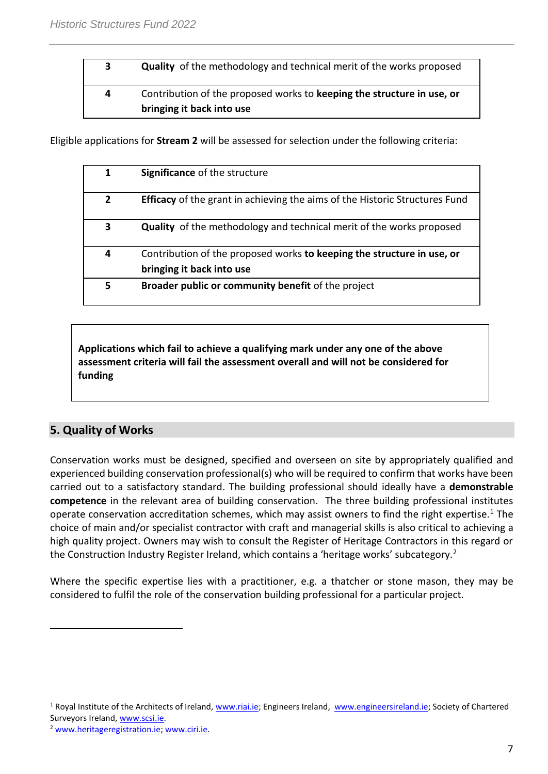# **3 Quality** of the methodology and technical merit of the works proposed **4** Contribution of the proposed works to **keeping the structure in use, or bringing it back into use**

Eligible applications for **Stream 2** will be assessed for selection under the following criteria:

| 1              | <b>Significance of the structure</b>                                               |
|----------------|------------------------------------------------------------------------------------|
| $\overline{2}$ | <b>Efficacy</b> of the grant in achieving the aims of the Historic Structures Fund |
| 3              | <b>Quality</b> of the methodology and technical merit of the works proposed        |
| 4              | Contribution of the proposed works to keeping the structure in use, or             |
|                | bringing it back into use                                                          |
| 5              | Broader public or community benefit of the project                                 |

**Applications which fail to achieve a qualifying mark under any one of the above assessment criteria will fail the assessment overall and will not be considered for funding**

# **5. Quality of Works**

 $\overline{a}$ 

Conservation works must be designed, specified and overseen on site by appropriately qualified and experienced building conservation professional(s) who will be required to confirm that works have been carried out to a satisfactory standard. The building professional should ideally have a **demonstrable competence** in the relevant area of building conservation. The three building professional institutes operate conservation accreditation schemes, which may assist owners to find the right expertise.<sup>1</sup> The choice of main and/or specialist contractor with craft and managerial skills is also critical to achieving a high quality project. Owners may wish to consult the Register of Heritage Contractors in this regard or the Construction Industry Register Ireland, which contains a 'heritage works' subcategory.<sup>2</sup>

Where the specific expertise lies with a practitioner, e.g. a thatcher or stone mason, they may be considered to fulfil the role of the conservation building professional for a particular project.

<sup>&</sup>lt;sup>1</sup> Royal Institute of the Architects of Ireland[, www.riai.ie;](http://www.riai.ie/) Engineers Ireland, [www.engineersireland.ie;](http://www.engineersireland.ie/) Society of Chartered Surveyors Ireland, [www.scsi.ie.](http://www.scsi.ie/)

<sup>2</sup> [www.heritageregistration.ie;](http://www.heritageregistration.ie/) [www.ciri.ie.](http://www.ciri.ie/)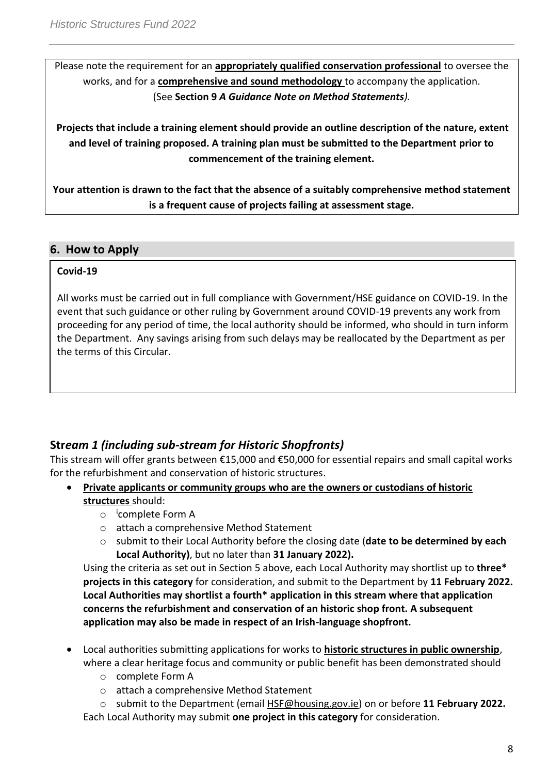Please note the requirement for an **appropriately qualified conservation professional** to oversee the works, and for a **comprehensive and sound methodology** to accompany the application. (See **Section 9** *A Guidance Note on Method Statements).*

**Projects that include a training element should provide an outline description of the nature, extent and level of training proposed. A training plan must be submitted to the Department prior to commencement of the training element.**

**Your attention is drawn to the fact that the absence of a suitably comprehensive method statement is a frequent cause of projects failing at assessment stage.**

# **6. How to Apply**

# **Covid-19**

All works must be carried out in full compliance with Government/HSE guidance on COVID-19. In the event that such guidance or other ruling by Government around COVID-19 prevents any work from proceeding for any period of time, the local authority should be informed, who should in turn inform the Department. Any savings arising from such delays may be reallocated by the Department as per the terms of this Circular.

# **Str***eam 1 (including sub-stream for Historic Shopfronts)*

This stream will offer grants between €15,000 and €50,000 for essential repairs and small capital works for the refurbishment and conservation of historic structures.

- **Private applicants or community groups who are the owners or custodians of historic structures** should:
	- o i complete Form A
	- o attach a comprehensive Method Statement
	- o submit to their Local Authority before the closing date (**date to be determined by each Local Authority)**, but no later than **31 January 2022).**

Using the criteria as set out in Section 5 above, each Local Authority may shortlist up to **three\* projects in this category** for consideration, and submit to the Department by **11 February 2022. Local Authorities may shortlist a fourth\* application in this stream where that application concerns the refurbishment and conservation of an historic shop front. A subsequent application may also be made in respect of an Irish-language shopfront.**

- Local authorities submitting applications for works to **historic structures in public ownership**, where a clear heritage focus and community or public benefit has been demonstrated should
	- o complete Form A
	- o attach a comprehensive Method Statement
	- o submit to the Department (email [HSF@housing.gov.ie\)](mailto:HSF@chg.gov.ie) on or before **11 February 2022.**

Each Local Authority may submit **one project in this category** for consideration.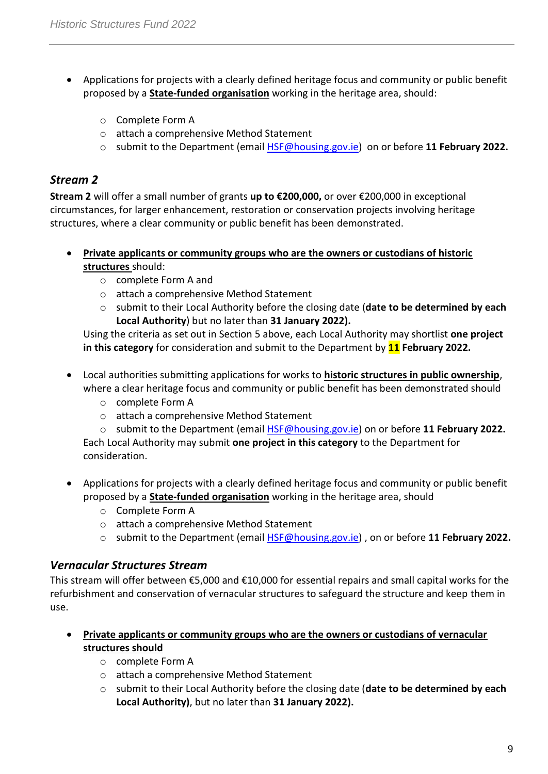- Applications for projects with a clearly defined heritage focus and community or public benefit proposed by a **State-funded organisation** working in the heritage area, should:
	- o Complete Form A
	- o attach a comprehensive Method Statement
	- o submit to the Department (email [HSF@housing.gov.ie\)](mailto:HSF@housing.gov.ie) on or before **11 February 2022.**

# *Stream 2*

**Stream 2** will offer a small number of grants **up to €200,000,** or over €200,000 in exceptional circumstances, for larger enhancement, restoration or conservation projects involving heritage structures, where a clear community or public benefit has been demonstrated.

- **Private applicants or community groups who are the owners or custodians of historic structures** should:
	- o complete Form A and
	- o attach a comprehensive Method Statement
	- o submit to their Local Authority before the closing date (**date to be determined by each Local Authority**) but no later than **31 January 2022).**

Using the criteria as set out in Section 5 above, each Local Authority may shortlist **one project in this category** for consideration and submit to the Department by **11 February 2022.** 

- Local authorities submitting applications for works to **historic structures in public ownership**, where a clear heritage focus and community or public benefit has been demonstrated should
	- o complete Form A
	- o attach a comprehensive Method Statement

o submit to the Department (email [HSF@housing.gov.ie\)](mailto:HSF@housing.gov.ie) on or before **11 February 2022.** Each Local Authority may submit **one project in this category** to the Department for consideration.

- Applications for projects with a clearly defined heritage focus and community or public benefit proposed by a **State-funded organisation** working in the heritage area, should
	- o Complete Form A
	- o attach a comprehensive Method Statement
	- o submit to the Department (email [HSF@housing.gov.ie\)](mailto:HSF@housing.gov.ie) , on or before **11 February 2022.**

# *Vernacular Structures Stream*

This stream will offer between €5,000 and €10,000 for essential repairs and small capital works for the refurbishment and conservation of vernacular structures to safeguard the structure and keep them in use.

- **Private applicants or community groups who are the owners or custodians of vernacular structures should**
	- o complete Form A
	- o attach a comprehensive Method Statement
	- o submit to their Local Authority before the closing date (**date to be determined by each Local Authority)**, but no later than **31 January 2022).**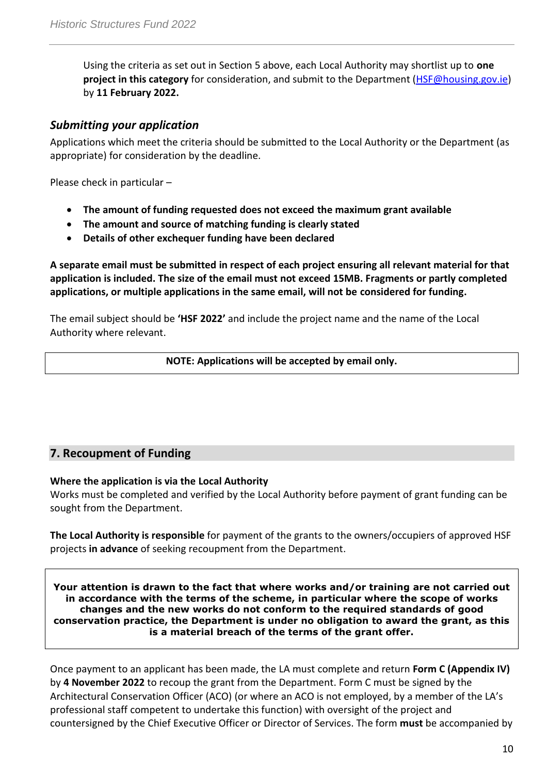Using the criteria as set out in Section 5 above, each Local Authority may shortlist up to **one project in this category** for consideration, and submit to the Department [\(HSF@housing.gov.ie\)](mailto:HSF@housing.gov.ie) by **11 February 2022.**

# *Submitting your application*

Applications which meet the criteria should be submitted to the Local Authority or the Department (as appropriate) for consideration by the deadline.

Please check in particular –

- **The amount of funding requested does not exceed the maximum grant available**
- **The amount and source of matching funding is clearly stated**
- **Details of other exchequer funding have been declared**

**A separate email must be submitted in respect of each project ensuring all relevant material for that application is included. The size of the email must not exceed 15MB. Fragments or partly completed applications, or multiple applications in the same email, will not be considered for funding.**

The email subject should be **'HSF 2022'** and include the project name and the name of the Local Authority where relevant.

**NOTE: Applications will be accepted by email only.**

# **7. Recoupment of Funding**

#### **Where the application is via the Local Authority**

Works must be completed and verified by the Local Authority before payment of grant funding can be sought from the Department.

**The Local Authority is responsible** for payment of the grants to the owners/occupiers of approved HSF projects **in advance** of seeking recoupment from the Department.

**Your attention is drawn to the fact that where works and/or training are not carried out in accordance with the terms of the scheme, in particular where the scope of works changes and the new works do not conform to the required standards of good conservation practice, the Department is under no obligation to award the grant, as this is a material breach of the terms of the grant offer.**

Once payment to an applicant has been made, the LA must complete and return **Form C (Appendix IV)** by **4 November 2022** to recoup the grant from the Department. Form C must be signed by the Architectural Conservation Officer (ACO) (or where an ACO is not employed, by a member of the LA's professional staff competent to undertake this function) with oversight of the project and countersigned by the Chief Executive Officer or Director of Services. The form **must** be accompanied by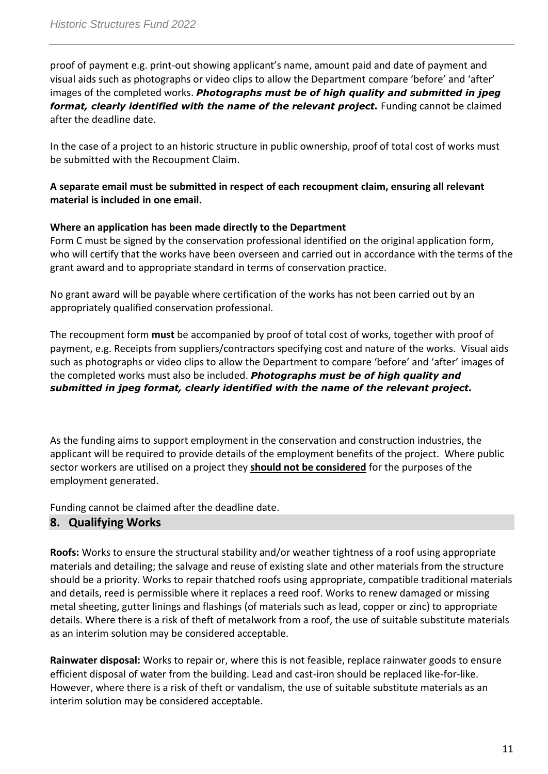proof of payment e.g. print-out showing applicant's name, amount paid and date of payment and visual aids such as photographs or video clips to allow the Department compare 'before' and 'after' images of the completed works. *Photographs must be of high quality and submitted in jpeg format, clearly identified with the name of the relevant project.* Funding cannot be claimed after the deadline date.

In the case of a project to an historic structure in public ownership, proof of total cost of works must be submitted with the Recoupment Claim.

# **A separate email must be submitted in respect of each recoupment claim, ensuring all relevant material is included in one email.**

#### **Where an application has been made directly to the Department**

Form C must be signed by the conservation professional identified on the original application form, who will certify that the works have been overseen and carried out in accordance with the terms of the grant award and to appropriate standard in terms of conservation practice.

No grant award will be payable where certification of the works has not been carried out by an appropriately qualified conservation professional.

The recoupment form **must** be accompanied by proof of total cost of works, together with proof of payment, e.g. Receipts from suppliers/contractors specifying cost and nature of the works. Visual aids such as photographs or video clips to allow the Department to compare 'before' and 'after' images of the completed works must also be included. *Photographs must be of high quality and submitted in jpeg format, clearly identified with the name of the relevant project.*

As the funding aims to support employment in the conservation and construction industries, the applicant will be required to provide details of the employment benefits of the project. Where public sector workers are utilised on a project they **should not be considered** for the purposes of the employment generated.

Funding cannot be claimed after the deadline date.

# **8. Qualifying Works**

**Roofs:** Works to ensure the structural stability and/or weather tightness of a roof using appropriate materials and detailing; the salvage and reuse of existing slate and other materials from the structure should be a priority. Works to repair thatched roofs using appropriate, compatible traditional materials and details, reed is permissible where it replaces a reed roof. Works to renew damaged or missing metal sheeting, gutter linings and flashings (of materials such as lead, copper or zinc) to appropriate details. Where there is a risk of theft of metalwork from a roof, the use of suitable substitute materials as an interim solution may be considered acceptable.

**Rainwater disposal:** Works to repair or, where this is not feasible, replace rainwater goods to ensure efficient disposal of water from the building. Lead and cast-iron should be replaced like-for-like. However, where there is a risk of theft or vandalism, the use of suitable substitute materials as an interim solution may be considered acceptable.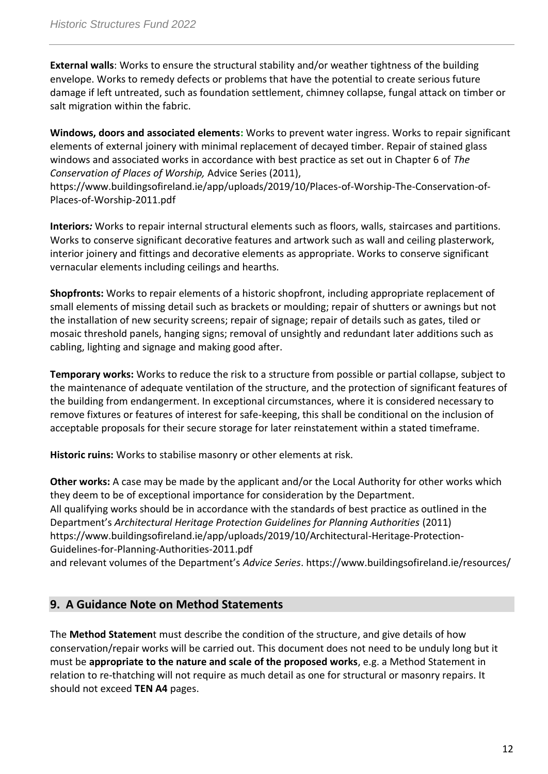**External walls**: Works to ensure the structural stability and/or weather tightness of the building envelope. Works to remedy defects or problems that have the potential to create serious future damage if left untreated, such as foundation settlement, chimney collapse, fungal attack on timber or salt migration within the fabric.

**Windows, doors and associated elements:** Works to prevent water ingress. Works to repair significant elements of external joinery with minimal replacement of decayed timber. Repair of stained glass windows and associated works in accordance with best practice as set out in Chapter 6 of *The Conservation of Places of Worship,* Advice Series (2011),

https://www.buildingsofireland.ie/app/uploads/2019/10/Places-of-Worship-The-Conservation-of-Places-of-Worship-2011.pdf

**Interiors***:* Works to repair internal structural elements such as floors, walls, staircases and partitions. Works to conserve significant decorative features and artwork such as wall and ceiling plasterwork, interior joinery and fittings and decorative elements as appropriate. Works to conserve significant vernacular elements including ceilings and hearths*.*

**Shopfronts:** Works to repair elements of a historic shopfront, including appropriate replacement of small elements of missing detail such as brackets or moulding; repair of shutters or awnings but not the installation of new security screens; repair of signage; repair of details such as gates, tiled or mosaic threshold panels, hanging signs; removal of unsightly and redundant later additions such as cabling, lighting and signage and making good after.

**Temporary works:** Works to reduce the risk to a structure from possible or partial collapse, subject to the maintenance of adequate ventilation of the structure, and the protection of significant features of the building from endangerment. In exceptional circumstances, where it is considered necessary to remove fixtures or features of interest for safe-keeping, this shall be conditional on the inclusion of acceptable proposals for their secure storage for later reinstatement within a stated timeframe.

**Historic ruins:** Works to stabilise masonry or other elements at risk.

**Other works:** A case may be made by the applicant and/or the Local Authority for other works which they deem to be of exceptional importance for consideration by the Department. All qualifying works should be in accordance with the standards of best practice as outlined in the Department's *Architectural Heritage Protection Guidelines for Planning Authorities* (2011) https://www.buildingsofireland.ie/app/uploads/2019/10/Architectural-Heritage-Protection-Guidelines-for-Planning-Authorities-2011.pdf

and relevant volumes of the Department's *Advice Series*. https://www.buildingsofireland.ie/resources/

# **9. A Guidance Note on Method Statements**

The **Method Statemen**t must describe the condition of the structure, and give details of how conservation/repair works will be carried out. This document does not need to be unduly long but it must be **appropriate to the nature and scale of the proposed works**, e.g. a Method Statement in relation to re-thatching will not require as much detail as one for structural or masonry repairs. It should not exceed **TEN A4** pages.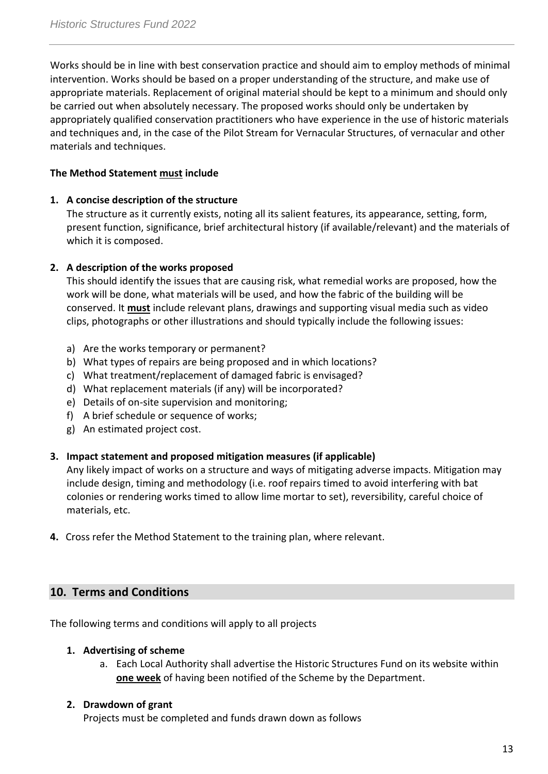Works should be in line with best conservation practice and should aim to employ methods of minimal intervention. Works should be based on a proper understanding of the structure, and make use of appropriate materials. Replacement of original material should be kept to a minimum and should only be carried out when absolutely necessary. The proposed works should only be undertaken by appropriately qualified conservation practitioners who have experience in the use of historic materials and techniques and, in the case of the Pilot Stream for Vernacular Structures, of vernacular and other materials and techniques.

# **The Method Statement must include**

#### **1. A concise description of the structure**

The structure as it currently exists, noting all its salient features, its appearance, setting, form, present function, significance, brief architectural history (if available/relevant) and the materials of which it is composed.

#### **2. A description of the works proposed**

This should identify the issues that are causing risk, what remedial works are proposed, how the work will be done, what materials will be used, and how the fabric of the building will be conserved. It **must** include relevant plans, drawings and supporting visual media such as video clips, photographs or other illustrations and should typically include the following issues:

- a) Are the works temporary or permanent?
- b) What types of repairs are being proposed and in which locations?
- c) What treatment/replacement of damaged fabric is envisaged?
- d) What replacement materials (if any) will be incorporated?
- e) Details of on-site supervision and monitoring;
- f) A brief schedule or sequence of works;
- g) An estimated project cost.

# **3. Impact statement and proposed mitigation measures (if applicable)**

Any likely impact of works on a structure and ways of mitigating adverse impacts. Mitigation may include design, timing and methodology (i.e. roof repairs timed to avoid interfering with bat colonies or rendering works timed to allow lime mortar to set), reversibility, careful choice of materials, etc.

**4.** Cross refer the Method Statement to the training plan, where relevant.

# **10. Terms and Conditions**

The following terms and conditions will apply to all projects

#### **1. Advertising of scheme**

a. Each Local Authority shall advertise the Historic Structures Fund on its website within **one week** of having been notified of the Scheme by the Department.

#### **2. Drawdown of grant**

Projects must be completed and funds drawn down as follows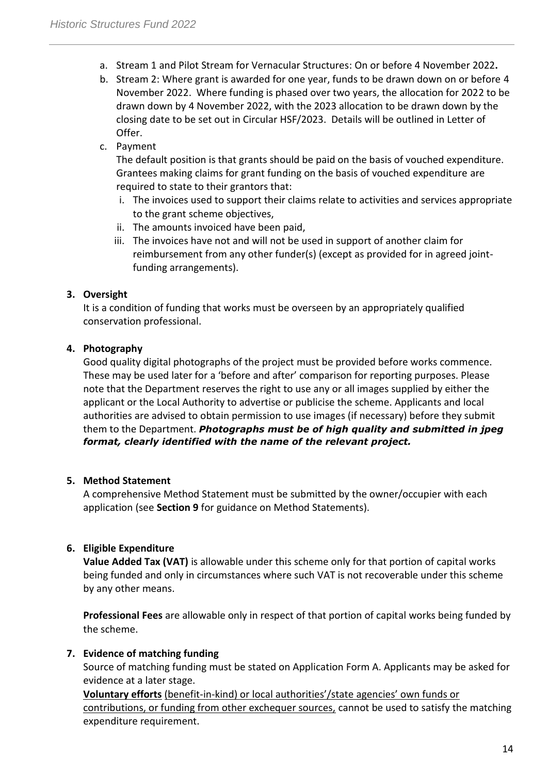- a. Stream 1 and Pilot Stream for Vernacular Structures: On or before 4 November 2022**.**
- b. Stream 2: Where grant is awarded for one year, funds to be drawn down on or before 4 November 2022. Where funding is phased over two years, the allocation for 2022 to be drawn down by 4 November 2022, with the 2023 allocation to be drawn down by the closing date to be set out in Circular HSF/2023. Details will be outlined in Letter of Offer.
- c. Payment

The default position is that grants should be paid on the basis of vouched expenditure. Grantees making claims for grant funding on the basis of vouched expenditure are required to state to their grantors that:

- i. The invoices used to support their claims relate to activities and services appropriate to the grant scheme objectives,
- ii. The amounts invoiced have been paid,
- iii. The invoices have not and will not be used in support of another claim for reimbursement from any other funder(s) (except as provided for in agreed jointfunding arrangements).

# **3. Oversight**

It is a condition of funding that works must be overseen by an appropriately qualified conservation professional.

# **4. Photography**

Good quality digital photographs of the project must be provided before works commence. These may be used later for a 'before and after' comparison for reporting purposes. Please note that the Department reserves the right to use any or all images supplied by either the applicant or the Local Authority to advertise or publicise the scheme. Applicants and local authorities are advised to obtain permission to use images (if necessary) before they submit them to the Department. *Photographs must be of high quality and submitted in jpeg format, clearly identified with the name of the relevant project.*

# **5. Method Statement**

A comprehensive Method Statement must be submitted by the owner/occupier with each application (see **Section 9** for guidance on Method Statements).

# **6. Eligible Expenditure**

**Value Added Tax (VAT)** is allowable under this scheme only for that portion of capital works being funded and only in circumstances where such VAT is not recoverable under this scheme by any other means.

**Professional Fees** are allowable only in respect of that portion of capital works being funded by the scheme.

# **7. Evidence of matching funding**

Source of matching funding must be stated on Application Form A. Applicants may be asked for evidence at a later stage.

**Voluntary efforts** (benefit-in-kind) or local authorities'/state agencies' own funds or contributions, or funding from other exchequer sources, cannot be used to satisfy the matching expenditure requirement.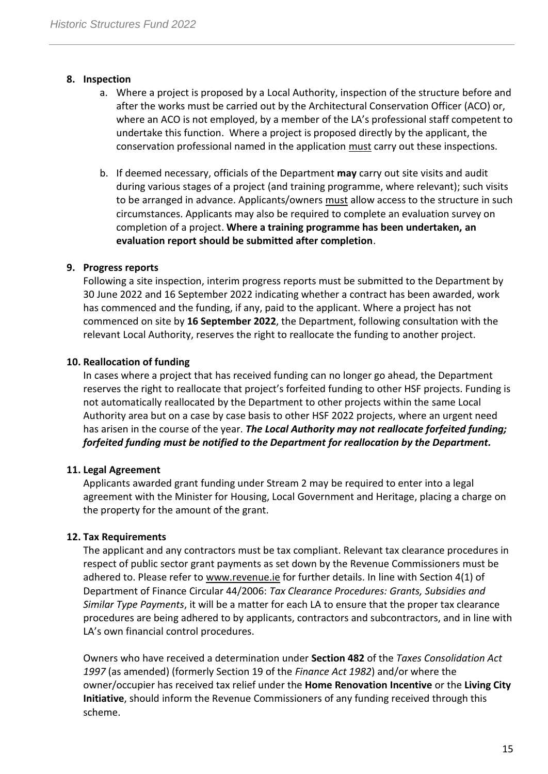### **8. Inspection**

- a. Where a project is proposed by a Local Authority, inspection of the structure before and after the works must be carried out by the Architectural Conservation Officer (ACO) or, where an ACO is not employed, by a member of the LA's professional staff competent to undertake this function. Where a project is proposed directly by the applicant, the conservation professional named in the application must carry out these inspections.
- b. If deemed necessary, officials of the Department **may** carry out site visits and audit during various stages of a project (and training programme, where relevant); such visits to be arranged in advance. Applicants/owners must allow access to the structure in such circumstances. Applicants may also be required to complete an evaluation survey on completion of a project. **Where a training programme has been undertaken, an evaluation report should be submitted after completion**.

#### **9. Progress reports**

Following a site inspection, interim progress reports must be submitted to the Department by 30 June 2022 and 16 September 2022 indicating whether a contract has been awarded, work has commenced and the funding, if any, paid to the applicant. Where a project has not commenced on site by **16 September 2022**, the Department, following consultation with the relevant Local Authority, reserves the right to reallocate the funding to another project.

# **10. Reallocation of funding**

In cases where a project that has received funding can no longer go ahead, the Department reserves the right to reallocate that project's forfeited funding to other HSF projects. Funding is not automatically reallocated by the Department to other projects within the same Local Authority area but on a case by case basis to other HSF 2022 projects, where an urgent need has arisen in the course of the year. *The Local Authority may not reallocate forfeited funding; forfeited funding must be notified to the Department for reallocation by the Department.* 

#### **11. Legal Agreement**

Applicants awarded grant funding under Stream 2 may be required to enter into a legal agreement with the Minister for Housing, Local Government and Heritage, placing a charge on the property for the amount of the grant.

#### **12. Tax Requirements**

The applicant and any contractors must be tax compliant. Relevant tax clearance procedures in respect of public sector grant payments as set down by the Revenue Commissioners must be adhered to. Please refer to [www.revenue.ie](http://www.revenue.ie/) for further details. In line with Section 4(1) of Department of Finance Circular 44/2006: *Tax Clearance Procedures: Grants, Subsidies and Similar Type Payments*, it will be a matter for each LA to ensure that the proper tax clearance procedures are being adhered to by applicants, contractors and subcontractors, and in line with LA's own financial control procedures.

Owners who have received a determination under **Section 482** of the *Taxes Consolidation Act 1997* (as amended) (formerly Section 19 of the *Finance Act 1982*) and/or where the owner/occupier has received tax relief under the **Home Renovation Incentive** or the **Living City Initiative**, should inform the Revenue Commissioners of any funding received through this scheme.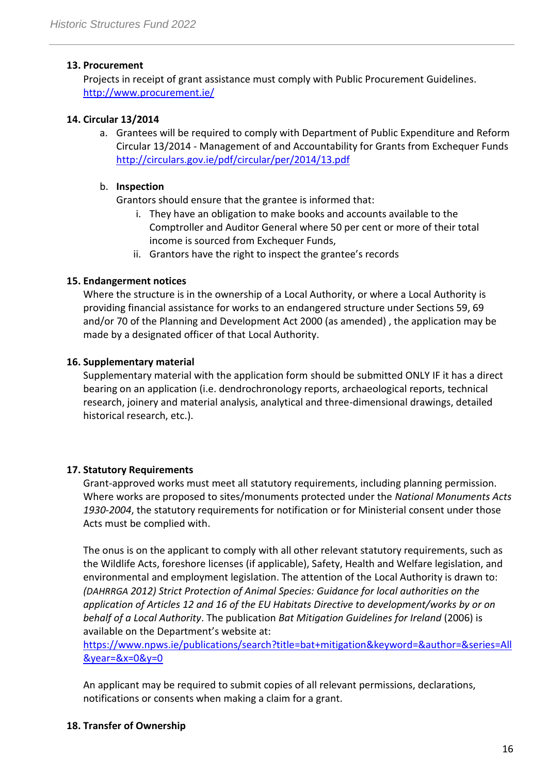# **13. Procurement**

Projects in receipt of grant assistance must comply with Public Procurement Guidelines. <http://www.procurement.ie/>

# **14. Circular 13/2014**

a. Grantees will be required to comply with Department of Public Expenditure and Reform Circular 13/2014 - Management of and Accountability for Grants from Exchequer Funds <http://circulars.gov.ie/pdf/circular/per/2014/13.pdf>

### b. **Inspection**

Grantors should ensure that the grantee is informed that:

- i. They have an obligation to make books and accounts available to the Comptroller and Auditor General where 50 per cent or more of their total income is sourced from Exchequer Funds,
- ii. Grantors have the right to inspect the grantee's records

# **15. Endangerment notices**

Where the structure is in the ownership of a Local Authority, or where a Local Authority is providing financial assistance for works to an endangered structure under Sections 59, 69 and/or 70 of the Planning and Development Act 2000 (as amended) , the application may be made by a designated officer of that Local Authority.

# **16. Supplementary material**

Supplementary material with the application form should be submitted ONLY IF it has a direct bearing on an application (i.e. dendrochronology reports, archaeological reports, technical research, joinery and material analysis, analytical and three-dimensional drawings, detailed historical research, etc.).

# **17. Statutory Requirements**

Grant-approved works must meet all statutory requirements, including planning permission. Where works are proposed to sites/monuments protected under the *National Monuments Acts 1930-2004*, the statutory requirements for notification or for Ministerial consent under those Acts must be complied with.

The onus is on the applicant to comply with all other relevant statutory requirements, such as the Wildlife Acts, foreshore licenses (if applicable), Safety, Health and Welfare legislation, and environmental and employment legislation. The attention of the Local Authority is drawn to: *(DAHRRGA 2012) Strict Protection of Animal Species: Guidance for local authorities on the application of Articles 12 and 16 of the EU Habitats Directive to development/works by or on behalf of a Local Authority*. The publication *Bat Mitigation Guidelines for Ireland* (2006) is available on the Department's website at:

[https://www.npws.ie/publications/search?title=bat+mitigation&keyword=&author=&series=All](https://www.npws.ie/publications/search?title=bat+mitigation&keyword=&author=&series=All&year=&x=0&y=0) [&year=&x=0&y=0](https://www.npws.ie/publications/search?title=bat+mitigation&keyword=&author=&series=All&year=&x=0&y=0)

An applicant may be required to submit copies of all relevant permissions, declarations, notifications or consents when making a claim for a grant.

# **18. Transfer of Ownership**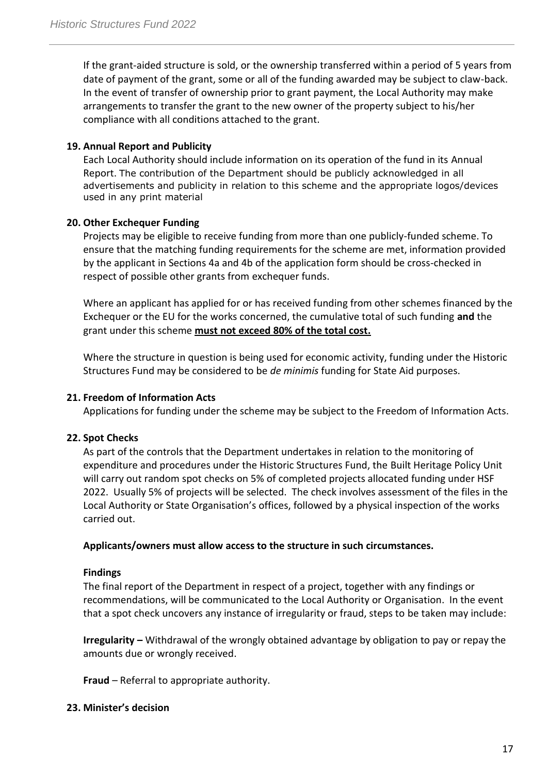If the grant-aided structure is sold, or the ownership transferred within a period of 5 years from date of payment of the grant, some or all of the funding awarded may be subject to claw-back. In the event of transfer of ownership prior to grant payment, the Local Authority may make arrangements to transfer the grant to the new owner of the property subject to his/her compliance with all conditions attached to the grant.

#### **19. Annual Report and Publicity**

Each Local Authority should include information on its operation of the fund in its Annual Report. The contribution of the Department should be publicly acknowledged in all advertisements and publicity in relation to this scheme and the appropriate logos/devices used in any print material

#### **20. Other Exchequer Funding**

Projects may be eligible to receive funding from more than one publicly-funded scheme. To ensure that the matching funding requirements for the scheme are met, information provided by the applicant in Sections 4a and 4b of the application form should be cross-checked in respect of possible other grants from exchequer funds.

Where an applicant has applied for or has received funding from other schemes financed by the Exchequer or the EU for the works concerned, the cumulative total of such funding **and** the grant under this scheme **must not exceed 80% of the total cost.**

Where the structure in question is being used for economic activity, funding under the Historic Structures Fund may be considered to be *de minimis* funding for State Aid purposes.

# **21. Freedom of Information Acts**

Applications for funding under the scheme may be subject to the Freedom of Information Acts.

# **22. Spot Checks**

As part of the controls that the Department undertakes in relation to the monitoring of expenditure and procedures under the Historic Structures Fund, the Built Heritage Policy Unit will carry out random spot checks on 5% of completed projects allocated funding under HSF 2022. Usually 5% of projects will be selected. The check involves assessment of the files in the Local Authority or State Organisation's offices, followed by a physical inspection of the works carried out.

#### **Applicants/owners must allow access to the structure in such circumstances.**

#### **Findings**

The final report of the Department in respect of a project, together with any findings or recommendations, will be communicated to the Local Authority or Organisation. In the event that a spot check uncovers any instance of irregularity or fraud, steps to be taken may include:

**Irregularity –** Withdrawal of the wrongly obtained advantage by obligation to pay or repay the amounts due or wrongly received.

**Fraud** – Referral to appropriate authority.

#### **23. Minister's decision**